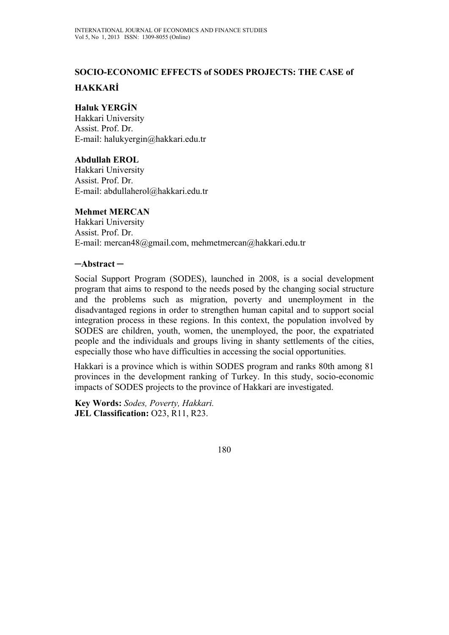# **SOCIO-ECONOMIC EFFECTS of SODES PROJECTS: THE CASE of**

# **HAKKARİ**

### **Haluk YERGİN**

Hakkari University Assist. Prof. Dr. E-mail: halukyergin@hakkari.edu.tr

### **Abdullah EROL**

Hakkari University Assist. Prof. Dr. E-mail: abdullaherol@hakkari.edu.tr

#### **Mehmet MERCAN**

Hakkari University Assist. Prof. Dr. E-mail: mercan48@gmail.com, mehmetmercan@hakkari.edu.tr

#### **─Abstract ─**

Social Support Program (SODES), launched in 2008, is a social development program that aims to respond to the needs posed by the changing social structure and the problems such as migration, poverty and unemployment in the disadvantaged regions in order to strengthen human capital and to support social integration process in these regions. In this context, the population involved by SODES are children, youth, women, the unemployed, the poor, the expatriated people and the individuals and groups living in shanty settlements of the cities, especially those who have difficulties in accessing the social opportunities.

Hakkari is a province which is within SODES program and ranks 80th among 81 provinces in the development ranking of Turkey. In this study, socio-economic impacts of SODES projects to the province of Hakkari are investigated.

**Key Words:** *Sodes, Poverty, Hakkari.*  **JEL Classification:** O23, R11, R23.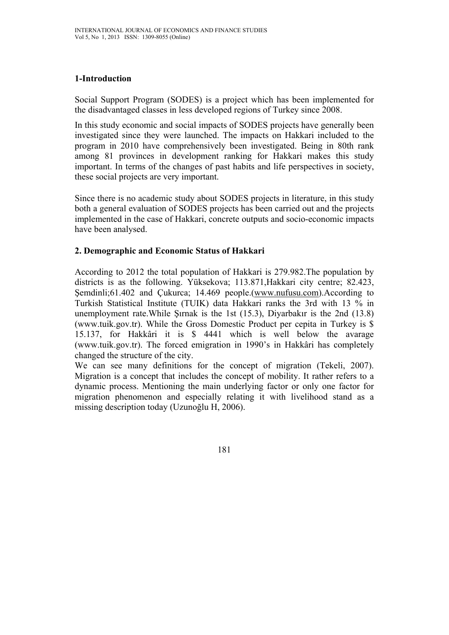# **1-Introduction**

Social Support Program (SODES) is a project which has been implemented for the disadvantaged classes in less developed regions of Turkey since 2008.

In this study economic and social impacts of SODES projects have generally been investigated since they were launched. The impacts on Hakkari included to the program in 2010 have comprehensively been investigated. Being in 80th rank among 81 provinces in development ranking for Hakkari makes this study important. In terms of the changes of past habits and life perspectives in society, these social projects are very important.

Since there is no academic study about SODES projects in literature, in this study both a general evaluation of SODES projects has been carried out and the projects implemented in the case of Hakkari, concrete outputs and socio-economic impacts have been analysed.

# **2. Demographic and Economic Status of Hakkari**

According to 2012 the total population of Hakkari is 279.982.The population by districts is as the following. Yüksekova; 113.871,Hakkari city centre; 82.423, Şemdinli;61.402 and Çukurca; 14.469 people.(www.nufusu.com).According to Turkish Statistical Institute (TUIK) data Hakkari ranks the 3rd with 13 % in unemployment rate.While Şırnak is the 1st (15.3), Diyarbakır is the 2nd (13.8) (www.tuik.gov.tr). While the Gross Domestic Product per cepita in Turkey is \$ 15.137, for Hakkâri it is \$ 4441 which is well below the avarage (www.tuik.gov.tr). The forced emigration in 1990's in Hakkâri has completely changed the structure of the city.

We can see many definitions for the concept of migration (Tekeli, 2007). Migration is a concept that includes the concept of mobility. It rather refers to a dynamic process. Mentioning the main underlying factor or only one factor for migration phenomenon and especially relating it with livelihood stand as a missing description today (Uzunoğlu H, 2006).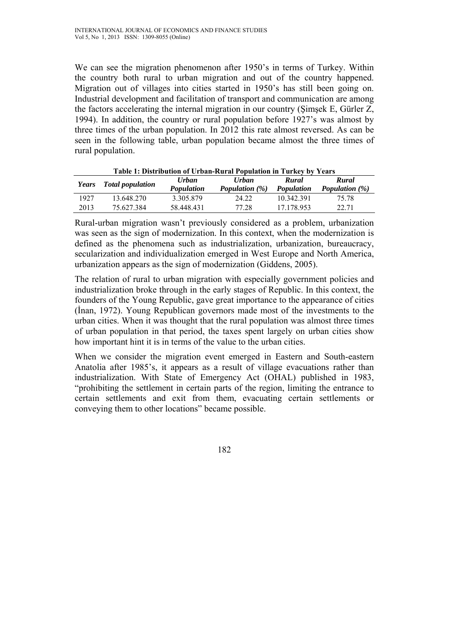We can see the migration phenomenon after 1950's in terms of Turkey. Within the country both rural to urban migration and out of the country happened. Migration out of villages into cities started in 1950's has still been going on. Industrial development and facilitation of transport and communication are among the factors accelerating the internal migration in our country (Şimşek E, Gürler Z, 1994). In addition, the country or rural population before 1927's was almost by three times of the urban population. In 2012 this rate almost reversed. As can be seen in the following table, urban population became almost the three times of rural population.

| Table 1. Distribution of Croan-Kural Population in Turkey by Tears |                         |                   |                       |            |                   |
|--------------------------------------------------------------------|-------------------------|-------------------|-----------------------|------------|-------------------|
| Years                                                              | <b>Total population</b> | <b>Urban</b>      | <b>Urban</b>          | Rural      | Rural             |
|                                                                    |                         | <b>Population</b> | <b>Population</b> (%) | Population | Population $(\%)$ |
| 1927                                                               | 13.648.270              | 3.305.879         | 24 22                 | 10.342.391 | 75 78             |
| 2013                                                               | 75.627.384              | 58.448.431        | 77.28                 | 17 178 953 | 22.71             |

**Table 1: Distribution of Urban-Rural Population in Turkey by Years** 

Rural-urban migration wasn't previously considered as a problem, urbanization was seen as the sign of modernization. In this context, when the modernization is defined as the phenomena such as industrialization, urbanization, bureaucracy, secularization and individualization emerged in West Europe and North America, urbanization appears as the sign of modernization (Giddens, 2005).

The relation of rural to urban migration with especially government policies and industrialization broke through in the early stages of Republic. In this context, the founders of the Young Republic, gave great importance to the appearance of cities (İnan, 1972). Young Republican governors made most of the investments to the urban cities. When it was thought that the rural population was almost three times of urban population in that period, the taxes spent largely on urban cities show how important hint it is in terms of the value to the urban cities.

When we consider the migration event emerged in Eastern and South-eastern Anatolia after 1985's, it appears as a result of village evacuations rather than industrialization. With State of Emergency Act (OHAL) published in 1983, "prohibiting the settlement in certain parts of the region, limiting the entrance to certain settlements and exit from them, evacuating certain settlements or conveying them to other locations" became possible.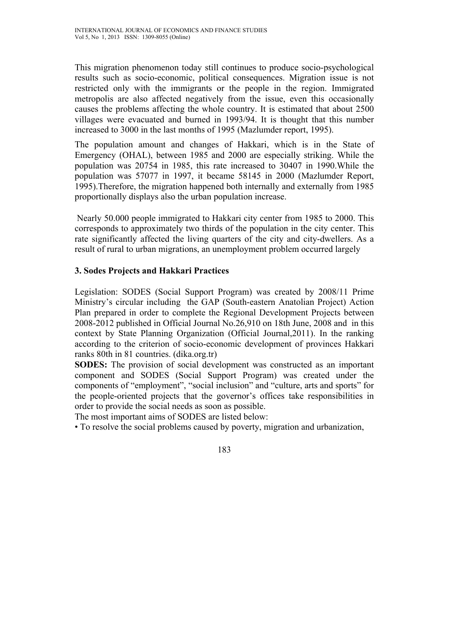This migration phenomenon today still continues to produce socio-psychological results such as socio-economic, political consequences. Migration issue is not restricted only with the immigrants or the people in the region. Immigrated metropolis are also affected negatively from the issue, even this occasionally causes the problems affecting the whole country. It is estimated that about 2500 villages were evacuated and burned in 1993/94. It is thought that this number increased to 3000 in the last months of 1995 (Mazlumder report, 1995).

The population amount and changes of Hakkari, which is in the State of Emergency (OHAL), between 1985 and 2000 are especially striking. While the population was 20754 in 1985, this rate increased to 30407 in 1990.While the population was 57077 in 1997, it became 58145 in 2000 (Mazlumder Report, 1995).Therefore, the migration happened both internally and externally from 1985 proportionally displays also the urban population increase.

 Nearly 50.000 people immigrated to Hakkari city center from 1985 to 2000. This corresponds to approximately two thirds of the population in the city center. This rate significantly affected the living quarters of the city and city-dwellers. As a result of rural to urban migrations, an unemployment problem occurred largely

# **3. Sodes Projects and Hakkari Practices**

Legislation: SODES (Social Support Program) was created by 2008/11 Prime Ministry's circular including the GAP (South-eastern Anatolian Project) Action Plan prepared in order to complete the Regional Development Projects between 2008-2012 published in Official Journal No.26,910 on 18th June, 2008 and in this context by State Planning Organization (Official Journal,2011). In the ranking according to the criterion of socio-economic development of provinces Hakkari ranks 80th in 81 countries. (dika.org.tr)

**SODES:** The provision of social development was constructed as an important component and SODES (Social Support Program) was created under the components of "employment", "social inclusion" and "culture, arts and sports" for the people-oriented projects that the governor's offices take responsibilities in order to provide the social needs as soon as possible.

The most important aims of SODES are listed below:

• To resolve the social problems caused by poverty, migration and urbanization,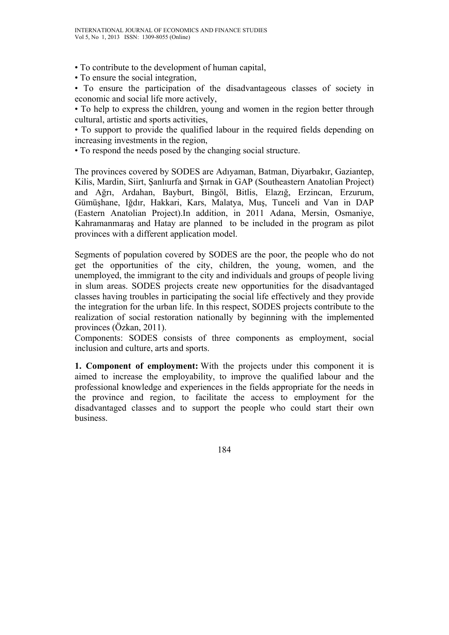• To contribute to the development of human capital,

• To ensure the social integration,

• To ensure the participation of the disadvantageous classes of society in economic and social life more actively,

• To help to express the children, young and women in the region better through cultural, artistic and sports activities,

• To support to provide the qualified labour in the required fields depending on increasing investments in the region,

• To respond the needs posed by the changing social structure.

The provinces covered by SODES are Adıyaman, Batman, Diyarbakır, Gaziantep, Kilis, Mardin, Siirt, Şanlıurfa and Şırnak in GAP (Southeastern Anatolian Project) and Ağrı, Ardahan, Bayburt, Bingöl, Bitlis, Elazığ, Erzincan, Erzurum, Gümüşhane, Iğdır, Hakkari, Kars, Malatya, Muş, Tunceli and Van in DAP (Eastern Anatolian Project).In addition, in 2011 Adana, Mersin, Osmaniye, Kahramanmaraş and Hatay are planned to be included in the program as pilot provinces with a different application model.

Segments of population covered by SODES are the poor, the people who do not get the opportunities of the city, children, the young, women, and the unemployed, the immigrant to the city and individuals and groups of people living in slum areas. SODES projects create new opportunities for the disadvantaged classes having troubles in participating the social life effectively and they provide the integration for the urban life. In this respect, SODES projects contribute to the realization of social restoration nationally by beginning with the implemented provinces (Özkan, 2011).

Components: SODES consists of three components as employment, social inclusion and culture, arts and sports.

**1. Component of employment:** With the projects under this component it is aimed to increase the employability, to improve the qualified labour and the professional knowledge and experiences in the fields appropriate for the needs in the province and region, to facilitate the access to employment for the disadvantaged classes and to support the people who could start their own business.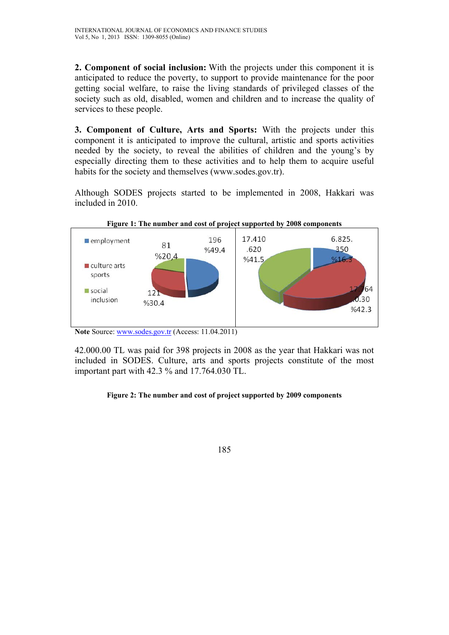**2. Component of social inclusion:** With the projects under this component it is anticipated to reduce the poverty, to support to provide maintenance for the poor getting social welfare, to raise the living standards of privileged classes of the society such as old, disabled, women and children and to increase the quality of services to these people.

**3. Component of Culture, Arts and Sports:** With the projects under this component it is anticipated to improve the cultural, artistic and sports activities needed by the society, to reveal the abilities of children and the young's by especially directing them to these activities and to help them to acquire useful habits for the society and themselves (www.sodes.gov.tr).

Although SODES projects started to be implemented in 2008, Hakkari was included in 2010.



Note Source: www.sodes.gov.tr (Access: 11.04.2011)

42.000.00 TL was paid for 398 projects in 2008 as the year that Hakkari was not included in SODES. Culture, arts and sports projects constitute of the most important part with 42.3 % and 17.764.030 TL.

#### **Figure 2: The number and cost of project supported by 2009 components**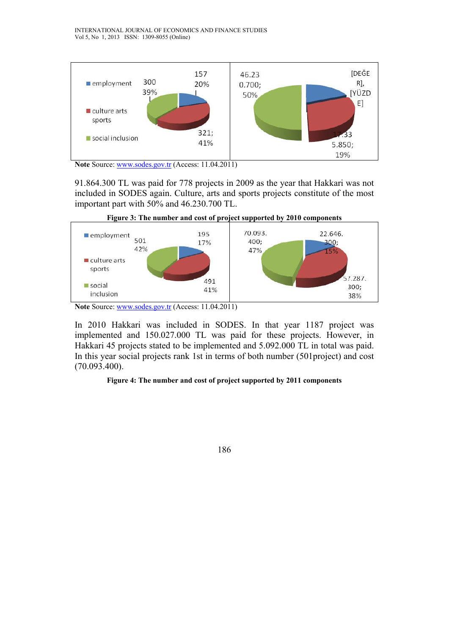

**Note** Source: www.sodes.gov.tr (Access: 11.04.2011)

91.864.300 TL was paid for 778 projects in 2009 as the year that Hakkari was not included in SODES again. Culture, arts and sports projects constitute of the most important part with 50% and 46.230.700 TL.



In 2010 Hakkari was included in SODES. In that year 1187 project was implemented and 150.027.000 TL was paid for these projects. However, in Hakkari 45 projects stated to be implemented and 5.092.000 TL in total was paid. In this year social projects rank 1st in terms of both number (501project) and cost (70.093.400).

#### **Figure 4: The number and cost of project supported by 2011 components**



Note Source: www.sodes.gov.tr (Access: 11.04.2011)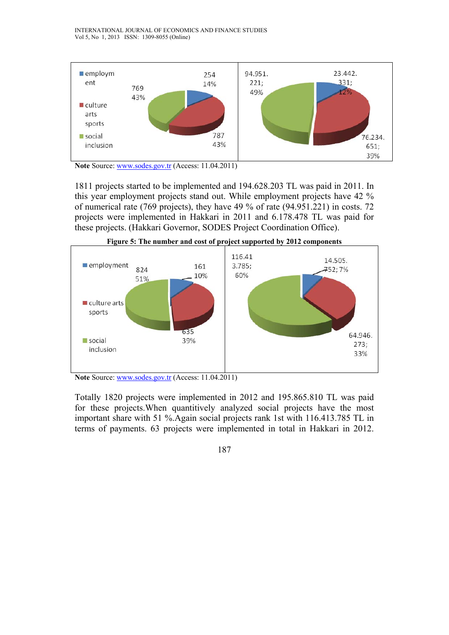

Note Source: www.sodes.gov.tr (Access: 11.04.2011)

1811 projects started to be implemented and 194.628.203 TL was paid in 2011. In this year employment projects stand out. While employment projects have 42 % of numerical rate (769 projects), they have 49 % of rate (94.951.221) in costs. 72 projects were implemented in Hakkari in 2011 and 6.178.478 TL was paid for these projects. (Hakkari Governor, SODES Project Coordination Office).



Note Source: www.sodes.gov.tr (Access: 11.04.2011)

Totally 1820 projects were implemented in 2012 and 195.865.810 TL was paid for these projects.When quantitively analyzed social projects have the most important share with 51 %.Again social projects rank 1st with 116.413.785 TL in terms of payments. 63 projects were implemented in total in Hakkari in 2012.

187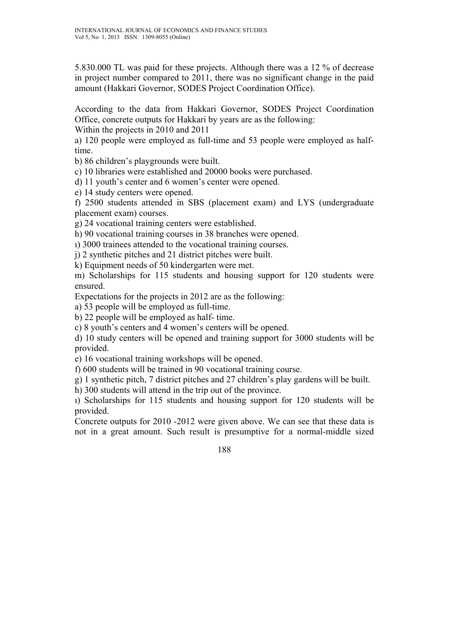5.830.000 TL was paid for these projects. Although there was a 12 % of decrease in project number compared to 2011, there was no significant change in the paid amount (Hakkari Governor, SODES Project Coordination Office).

According to the data from Hakkari Governor, SODES Project Coordination Office, concrete outputs for Hakkari by years are as the following:

Within the projects in 2010 and 2011

a) 120 people were employed as full-time and 53 people were employed as halftime.

b) 86 children's playgrounds were built.

c) 10 libraries were established and 20000 books were purchased.

d) 11 youth's center and 6 women's center were opened.

e) 14 study centers were opened.

f) 2500 students attended in SBS (placement exam) and LYS (undergraduate placement exam) courses.

g) 24 vocational training centers were established.

h) 90 vocational training courses in 38 branches were opened.

ı) 3000 trainees attended to the vocational training courses.

j) 2 synthetic pitches and 21 district pitches were built.

k) Equipment needs of 50 kindergarten were met.

m) Scholarships for 115 students and housing support for 120 students were ensured.

Expectations for the projects in 2012 are as the following:

a) 53 people will be employed as full-time.

b) 22 people will be employed as half- time.

c) 8 youth's centers and 4 women's centers will be opened.

d) 10 study centers will be opened and training support for 3000 students will be provided.

e) 16 vocational training workshops will be opened.

f) 600 students will be trained in 90 vocational training course.

g) 1 synthetic pitch, 7 district pitches and 27 children's play gardens will be built.

h) 300 students will attend in the trip out of the province.

ı) Scholarships for 115 students and housing support for 120 students will be provided.

Concrete outputs for 2010 -2012 were given above. We can see that these data is not in a great amount. Such result is presumptive for a normal-middle sized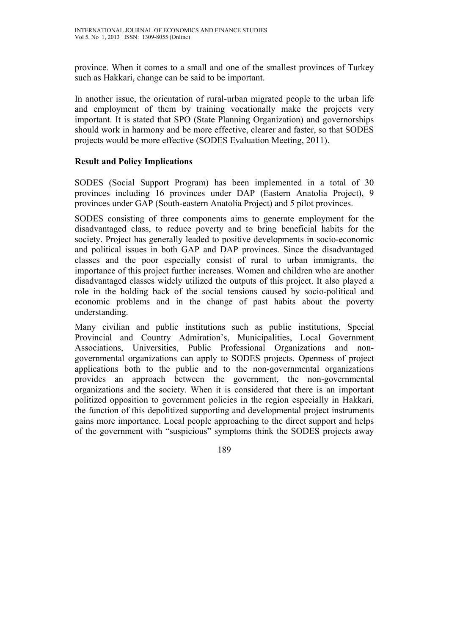province. When it comes to a small and one of the smallest provinces of Turkey such as Hakkari, change can be said to be important.

In another issue, the orientation of rural-urban migrated people to the urban life and employment of them by training vocationally make the projects very important. It is stated that SPO (State Planning Organization) and governorships should work in harmony and be more effective, clearer and faster, so that SODES projects would be more effective (SODES Evaluation Meeting, 2011).

#### **Result and Policy Implications**

SODES (Social Support Program) has been implemented in a total of 30 provinces including 16 provinces under DAP (Eastern Anatolia Project), 9 provinces under GAP (South-eastern Anatolia Project) and 5 pilot provinces.

SODES consisting of three components aims to generate employment for the disadvantaged class, to reduce poverty and to bring beneficial habits for the society. Project has generally leaded to positive developments in socio-economic and political issues in both GAP and DAP provinces. Since the disadvantaged classes and the poor especially consist of rural to urban immigrants, the importance of this project further increases. Women and children who are another disadvantaged classes widely utilized the outputs of this project. It also played a role in the holding back of the social tensions caused by socio-political and economic problems and in the change of past habits about the poverty understanding.

Many civilian and public institutions such as public institutions, Special Provincial and Country Admiration's, Municipalities, Local Government Associations, Universities, Public Professional Organizations and nongovernmental organizations can apply to SODES projects. Openness of project applications both to the public and to the non-governmental organizations provides an approach between the government, the non-governmental organizations and the society. When it is considered that there is an important politized opposition to government policies in the region especially in Hakkari, the function of this depolitized supporting and developmental project instruments gains more importance. Local people approaching to the direct support and helps of the government with "suspicious" symptoms think the SODES projects away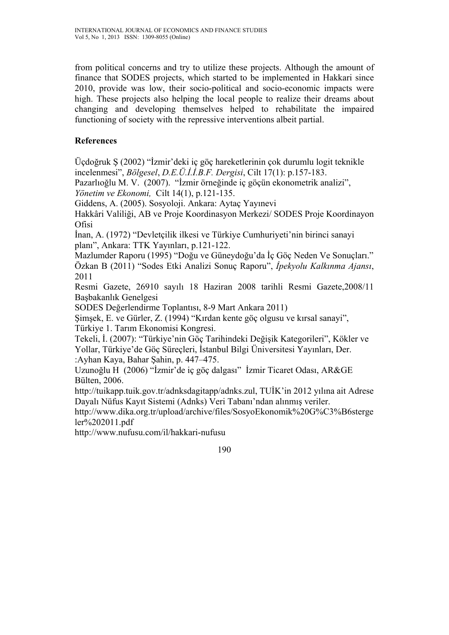from political concerns and try to utilize these projects. Although the amount of finance that SODES projects, which started to be implemented in Hakkari since 2010, provide was low, their socio-political and socio-economic impacts were high. These projects also helping the local people to realize their dreams about changing and developing themselves helped to rehabilitate the impaired functioning of society with the repressive interventions albeit partial.

# **References**

Üçdoğruk Ş (2002) "İzmir'deki iç göç hareketlerinin çok durumlu logit teknikle incelenmesi", *Bölgesel*, *D.E.Ü.İ.İ.B.F. Dergisi*, Cilt 17(1): p.157-183.

Pazarlıoğlu M. V. (2007). "İzmir örneğinde iç göçün ekonometrik analizi",

*Yönetim ve Ekonomi,* Cilt 14(1), p.121-135.

Giddens, A. (2005). Sosyoloji. Ankara: Aytaç Yayınevi

Hakkâri Valiliği, AB ve Proje Koordinasyon Merkezi/ SODES Proje Koordinayon **Ofisi** 

İnan, A. (1972) "Devletçilik ilkesi ve Türkiye Cumhuriyeti'nin birinci sanayi planı", Ankara: TTK Yayınları, p.121-122.

Mazlumder Raporu (1995) "Doğu ve Güneydoğu'da İç Göç Neden Ve Sonuçları." Özkan B (2011) "Sodes Etki Analizi Sonuç Raporu", *İpekyolu Kalkınma Ajansı*, 2011

Resmi Gazete, 26910 sayılı 18 Haziran 2008 tarihli Resmi Gazete,2008/11 Başbakanlık Genelgesi

SODES Değerlendirme Toplantısı, 8-9 Mart Ankara 2011)

Şimşek, E. ve Gürler, Z. (1994) "Kırdan kente göç olgusu ve kırsal sanayi", Türkiye 1. Tarım Ekonomisi Kongresi.

Tekeli, İ. (2007): "Türkiye'nin Göç Tarihindeki Değişik Kategorileri", Kökler ve Yollar, Türkiye'de Göç Süreçleri, İstanbul Bilgi Üniversitesi Yayınları, Der. :Ayhan Kaya, Bahar Şahin, p. 447–475.

Uzunoğlu H (2006) "İzmir'de iç göç dalgası" İzmir Ticaret Odası, AR&GE Bülten, 2006.

http://tuikapp.tuik.gov.tr/adnksdagitapp/adnks.zul, TUİK'in 2012 yılına ait Adrese Dayalı Nüfus Kayıt Sistemi (Adnks) Veri Tabanı'ndan alınmış veriler.

http://www.dika.org.tr/upload/archive/files/SosyoEkonomik%20G%C3%B6sterge ler%202011.pdf

http://www.nufusu.com/il/hakkari-nufusu